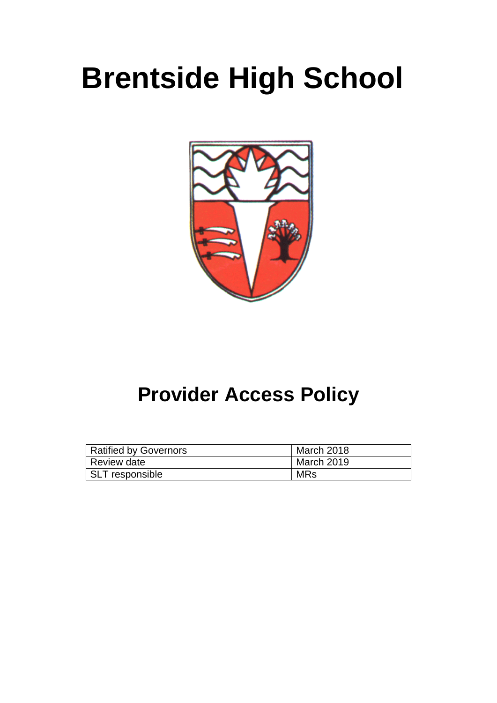# **Brentside High School**



## **Provider Access Policy**

| <b>Ratified by Governors</b> | March 2018 |  |
|------------------------------|------------|--|
| <b>Review date</b>           | March 2019 |  |
| SLT responsible              | MRs        |  |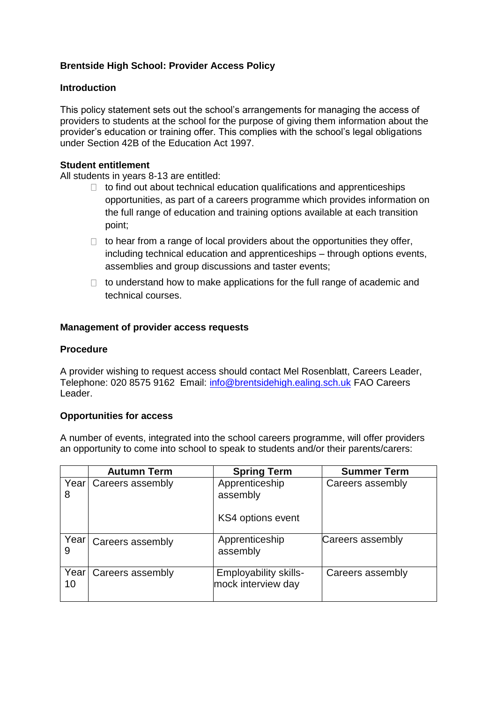#### **Brentside High School: Provider Access Policy**

#### **Introduction**

This policy statement sets out the school's arrangements for managing the access of providers to students at the school for the purpose of giving them information about the provider's education or training offer. This complies with the school's legal obligations under Section 42B of the Education Act 1997.

#### **Student entitlement**

All students in years 8-13 are entitled:

- $\Box$  to find out about technical education qualifications and apprenticeships opportunities, as part of a careers programme which provides information on the full range of education and training options available at each transition point;
- $\Box$  to hear from a range of local providers about the opportunities they offer, including technical education and apprenticeships – through options events, assemblies and group discussions and taster events;
- $\Box$  to understand how to make applications for the full range of academic and technical courses.

#### **Management of provider access requests**

#### **Procedure**

A provider wishing to request access should contact Mel Rosenblatt, Careers Leader, Telephone: 020 8575 9162 Email: [info@brentsidehigh.ealing.sch.uk](mailto:info@brentsidehigh.ealing.sch.uk) FAO Careers Leader.

#### **Opportunities for access**

A number of events, integrated into the school careers programme, will offer providers an opportunity to come into school to speak to students and/or their parents/carers:

|            | <b>Autumn Term</b>      | <b>Spring Term</b>                                 | <b>Summer Term</b> |
|------------|-------------------------|----------------------------------------------------|--------------------|
| 8          | Year   Careers assembly | Apprenticeship<br>assembly                         | Careers assembly   |
|            |                         | KS4 options event                                  |                    |
|            | Year   Careers assembly | Apprenticeship<br>assembly                         | Careers assembly   |
| Year<br>10 | Careers assembly        | <b>Employability skills-</b><br>mock interview day | Careers assembly   |